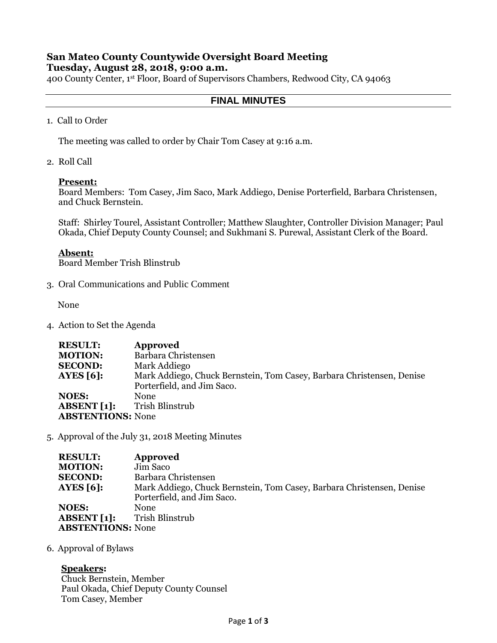## **San Mateo County Countywide Oversight Board Meeting Tuesday, August 28, 2018, 9:00 a.m.**

400 County Center, 1st Floor, Board of Supervisors Chambers, Redwood City, CA 94063

# **FINAL MINUTES**

1. Call to Order

The meeting was called to order by Chair Tom Casey at 9:16 a.m.

2. Roll Call

#### **Present:**

Board Members: Tom Casey, Jim Saco, Mark Addiego, Denise Porterfield, Barbara Christensen, and Chuck Bernstein.

Staff: Shirley Tourel, Assistant Controller; Matthew Slaughter, Controller Division Manager; Paul Okada, Chief Deputy County Counsel; and Sukhmani S. Purewal, Assistant Clerk of the Board.

### **Absent:**

Board Member Trish Blinstrub

3. Oral Communications and Public Comment

None

4. Action to Set the Agenda

| <b>RESULT:</b>           | Approved                                                              |
|--------------------------|-----------------------------------------------------------------------|
| <b>MOTION:</b>           | Barbara Christensen                                                   |
| <b>SECOND:</b>           | Mark Addiego                                                          |
| AYES $[6]$ :             | Mark Addiego, Chuck Bernstein, Tom Casey, Barbara Christensen, Denise |
|                          | Porterfield, and Jim Saco.                                            |
| <b>NOES:</b>             | <b>None</b>                                                           |
| ABSENT[1]:               | Trish Blinstrub                                                       |
| <b>ABSTENTIONS: None</b> |                                                                       |

5. Approval of the July 31, 2018 Meeting Minutes

| <b>RESULT:</b>           | Approved                                                              |
|--------------------------|-----------------------------------------------------------------------|
| <b>MOTION:</b>           | Jim Saco                                                              |
| <b>SECOND:</b>           | Barbara Christensen                                                   |
| <b>AYES</b> [6]:         | Mark Addiego, Chuck Bernstein, Tom Casey, Barbara Christensen, Denise |
|                          | Porterfield, and Jim Saco.                                            |
| <b>NOES:</b>             | <b>None</b>                                                           |
| <b>ABSENT</b> [1]:       | Trish Blinstrub                                                       |
| <b>ABSTENTIONS: None</b> |                                                                       |

6. Approval of Bylaws

## **Speakers:**

Chuck Bernstein, Member Paul Okada, Chief Deputy County Counsel Tom Casey, Member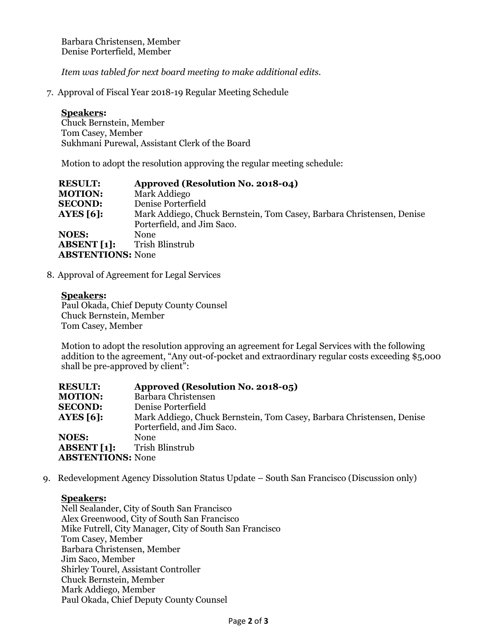Barbara Christensen, Member Denise Porterfield, Member

*Item was tabled for next board meeting to make additional edits.*

7. Approval of Fiscal Year 2018-19 Regular Meeting Schedule

### **Speakers:**

Chuck Bernstein, Member Tom Casey, Member Sukhmani Purewal, Assistant Clerk of the Board

Motion to adopt the resolution approving the regular meeting schedule:

| <b>RESULT:</b>           | Approved (Resolution No. 2018-04)                                     |
|--------------------------|-----------------------------------------------------------------------|
| <b>MOTION:</b>           | Mark Addiego                                                          |
| <b>SECOND:</b>           | Denise Porterfield                                                    |
| AYES $[6]$ :             | Mark Addiego, Chuck Bernstein, Tom Casey, Barbara Christensen, Denise |
|                          | Porterfield, and Jim Saco.                                            |
| <b>NOES:</b>             | <b>None</b>                                                           |
| ABSENT[1]:               | Trish Blinstrub                                                       |
| <b>ABSTENTIONS: None</b> |                                                                       |

8. Approval of Agreement for Legal Services

**Speakers:**  Paul Okada, Chief Deputy County Counsel Chuck Bernstein, Member Tom Casey, Member

Motion to adopt the resolution approving an agreement for Legal Services with the following addition to the agreement, "Any out-of-pocket and extraordinary regular costs exceeding \$5,000 shall be pre-approved by client":

| <b>RESULT:</b>           | Approved (Resolution No. 2018-05)                                     |
|--------------------------|-----------------------------------------------------------------------|
| <b>MOTION:</b>           | Barbara Christensen                                                   |
| <b>SECOND:</b>           | Denise Porterfield                                                    |
| <b>AYES [6]:</b>         | Mark Addiego, Chuck Bernstein, Tom Casey, Barbara Christensen, Denise |
|                          | Porterfield, and Jim Saco.                                            |
| <b>NOES:</b>             | <b>None</b>                                                           |
| <b>ABSENT</b> [1]:       | Trish Blinstrub                                                       |
| <b>ABSTENTIONS: None</b> |                                                                       |
|                          |                                                                       |

9. Redevelopment Agency Dissolution Status Update – South San Francisco (Discussion only)

## **Speakers:**

Nell Sealander, City of South San Francisco Alex Greenwood, City of South San Francisco Mike Futrell, City Manager, City of South San Francisco Tom Casey, Member Barbara Christensen, Member Jim Saco, Member Shirley Tourel, Assistant Controller Chuck Bernstein, Member Mark Addiego, Member Paul Okada, Chief Deputy County Counsel